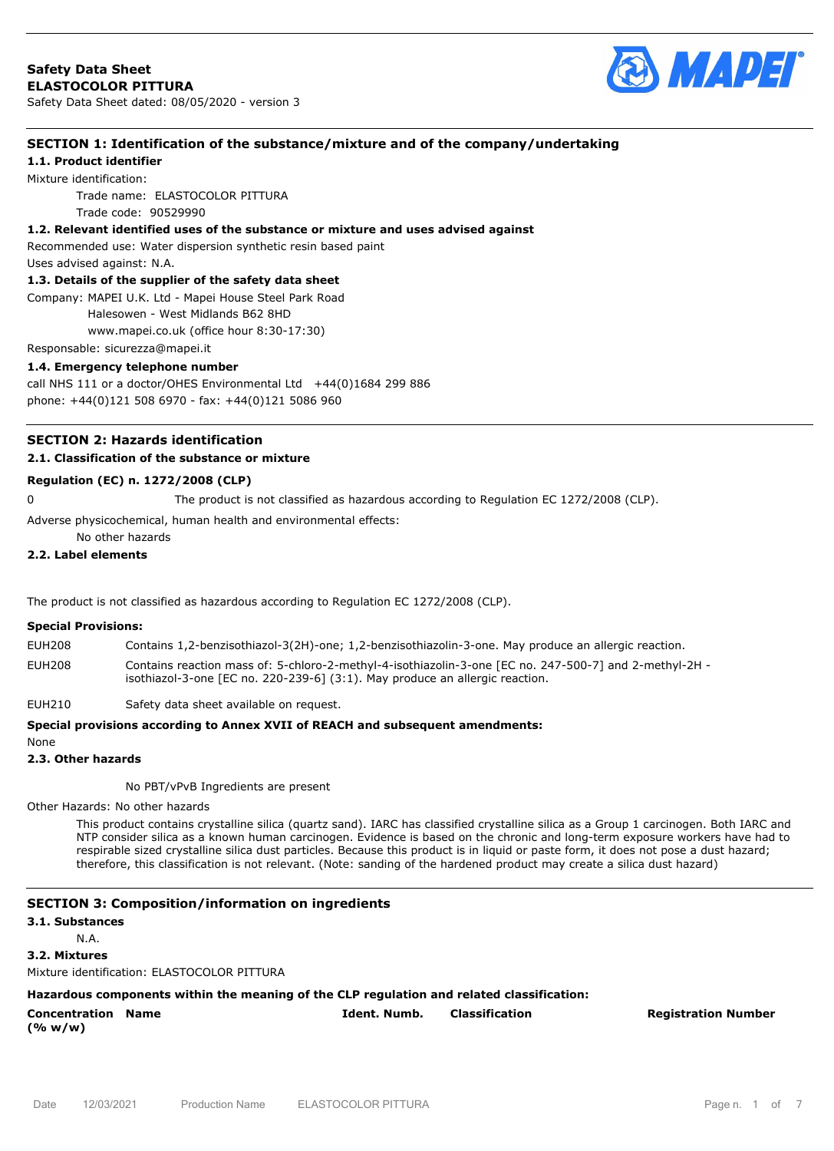

## **SECTION 1: Identification of the substance/mixture and of the company/undertaking**

**1.1. Product identifier**

Mixture identification:

Trade name: ELASTOCOLOR PITTURA Trade code: 90529990

## **1.2. Relevant identified uses of the substance or mixture and uses advised against**

Recommended use: Water dispersion synthetic resin based paint Uses advised against: N.A.

## **1.3. Details of the supplier of the safety data sheet**

Company: MAPEI U.K. Ltd - Mapei House Steel Park Road

Halesowen - West Midlands B62 8HD

www.mapei.co.uk (office hour 8:30-17:30)

Responsable: sicurezza@mapei.it

### **1.4. Emergency telephone number**

call NHS 111 or a doctor/OHES Environmental Ltd +44(0)1684 299 886 phone: +44(0)121 508 6970 - fax: +44(0)121 5086 960

## **SECTION 2: Hazards identification**

### **2.1. Classification of the substance or mixture**

### **Regulation (EC) n. 1272/2008 (CLP)**

0 The product is not classified as hazardous according to Regulation EC 1272/2008 (CLP).

Adverse physicochemical, human health and environmental effects:

No other hazards

## **2.2. Label elements**

The product is not classified as hazardous according to Regulation EC 1272/2008 (CLP).

### **Special Provisions:**

- EUH208 Contains 1,2-benzisothiazol-3(2H)-one; 1,2-benzisothiazolin-3-one. May produce an allergic reaction.
- EUH208 Contains reaction mass of: 5-chloro-2-methyl-4-isothiazolin-3-one [EC no. 247-500-7] and 2-methyl-2H isothiazol-3-one [EC no. 220-239-6] (3:1). May produce an allergic reaction.

EUH210 Safety data sheet available on request.

### **Special provisions according to Annex XVII of REACH and subsequent amendments:**

None

# **2.3. Other hazards**

No PBT/vPvB Ingredients are present

Other Hazards: No other hazards

This product contains crystalline silica (quartz sand). IARC has classified crystalline silica as a Group 1 carcinogen. Both IARC and NTP consider silica as a known human carcinogen. Evidence is based on the chronic and long-term exposure workers have had to respirable sized crystalline silica dust particles. Because this product is in liquid or paste form, it does not pose a dust hazard; therefore, this classification is not relevant. (Note: sanding of the hardened product may create a silica dust hazard)

|                                             | <b>SECTION 3: Composition/information on ingredients</b>                                  |              |                |                            |
|---------------------------------------------|-------------------------------------------------------------------------------------------|--------------|----------------|----------------------------|
| 3.1. Substances                             |                                                                                           |              |                |                            |
| N.A.                                        |                                                                                           |              |                |                            |
| 3.2. Mixtures                               |                                                                                           |              |                |                            |
| Mixture identification: ELASTOCOLOR PITTURA |                                                                                           |              |                |                            |
|                                             | Hazardous components within the meaning of the CLP regulation and related classification: |              |                |                            |
| <b>Concentration Name</b><br>(% w/w)        |                                                                                           | Ident. Numb. | Classification | <b>Registration Number</b> |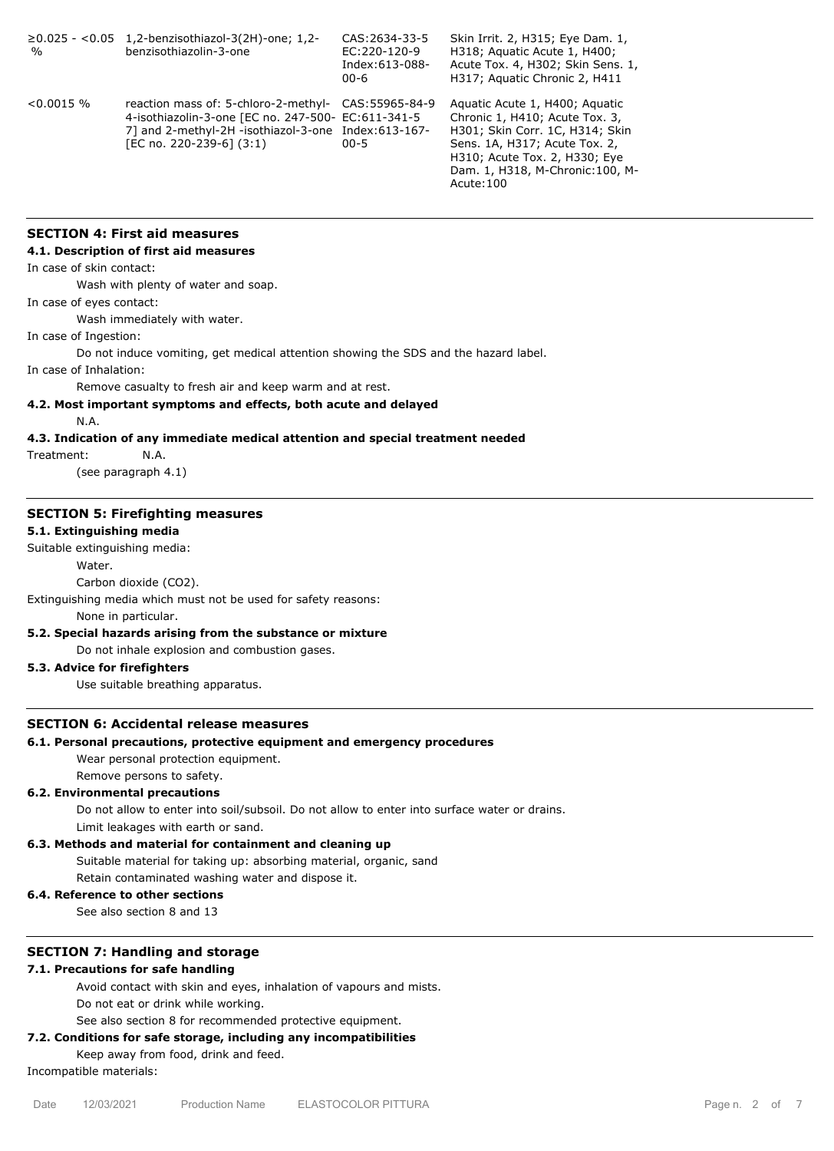| $\frac{O}{O}$ | $≥0.025 - <0.05$ 1,2-benzisothiazol-3(2H)-one; 1,2-<br>benzisothiazolin-3-one                                                                                                                  | CAS: 2634-33-5<br>EC: 220-120-9<br>Index: 613-088-<br>$00 - 6$ | Skin Irrit. 2, H315; Eye Dam. 1,<br>H318; Aquatic Acute 1, H400;<br>Acute Tox. 4, H302; Skin Sens. 1,<br>H317; Aquatic Chronic 2, H411                                                                                  |
|---------------|------------------------------------------------------------------------------------------------------------------------------------------------------------------------------------------------|----------------------------------------------------------------|-------------------------------------------------------------------------------------------------------------------------------------------------------------------------------------------------------------------------|
| $< 0.0015 \%$ | reaction mass of: 5-chloro-2-methyl- CAS:55965-84-9<br>4-isothiazolin-3-one [EC no. 247-500- EC:611-341-5<br>7] and 2-methyl-2H -isothiazol-3-one Index:613-167-<br>[EC no. 220-239-6] $(3:1)$ | $00 - 5$                                                       | Aguatic Acute 1, H400; Aguatic<br>Chronic 1, H410; Acute Tox. 3,<br>H301; Skin Corr. 1C, H314; Skin<br>Sens. 1A, H317; Acute Tox. 2,<br>H310; Acute Tox. 2, H330; Eye<br>Dam. 1, H318, M-Chronic: 100, M-<br>Acute: 100 |

### **SECTION 4: First aid measures**

## **4.1. Description of first aid measures**

In case of skin contact:

Wash with plenty of water and soap.

In case of eyes contact:

Wash immediately with water.

In case of Ingestion:

Do not induce vomiting, get medical attention showing the SDS and the hazard label.

In case of Inhalation:

Remove casualty to fresh air and keep warm and at rest.

# **4.2. Most important symptoms and effects, both acute and delayed**

N.A.

### **4.3. Indication of any immediate medical attention and special treatment needed**

Treatment: N.A.

(see paragraph 4.1)

## **SECTION 5: Firefighting measures**

## **5.1. Extinguishing media**

Suitable extinguishing media:

#### **Water**

Carbon dioxide (CO2).

Extinguishing media which must not be used for safety reasons:

None in particular.

### **5.2. Special hazards arising from the substance or mixture**

Do not inhale explosion and combustion gases.

# **5.3. Advice for firefighters**

Use suitable breathing apparatus.

## **SECTION 6: Accidental release measures**

### **6.1. Personal precautions, protective equipment and emergency procedures**

Wear personal protection equipment.

Remove persons to safety.

## **6.2. Environmental precautions**

Do not allow to enter into soil/subsoil. Do not allow to enter into surface water or drains. Limit leakages with earth or sand.

### **6.3. Methods and material for containment and cleaning up**

Suitable material for taking up: absorbing material, organic, sand

Retain contaminated washing water and dispose it.

## **6.4. Reference to other sections**

See also section 8 and 13

### **SECTION 7: Handling and storage**

### **7.1. Precautions for safe handling**

Avoid contact with skin and eyes, inhalation of vapours and mists. Do not eat or drink while working.

See also section 8 for recommended protective equipment.

## **7.2. Conditions for safe storage, including any incompatibilities**

Keep away from food, drink and feed.

Incompatible materials: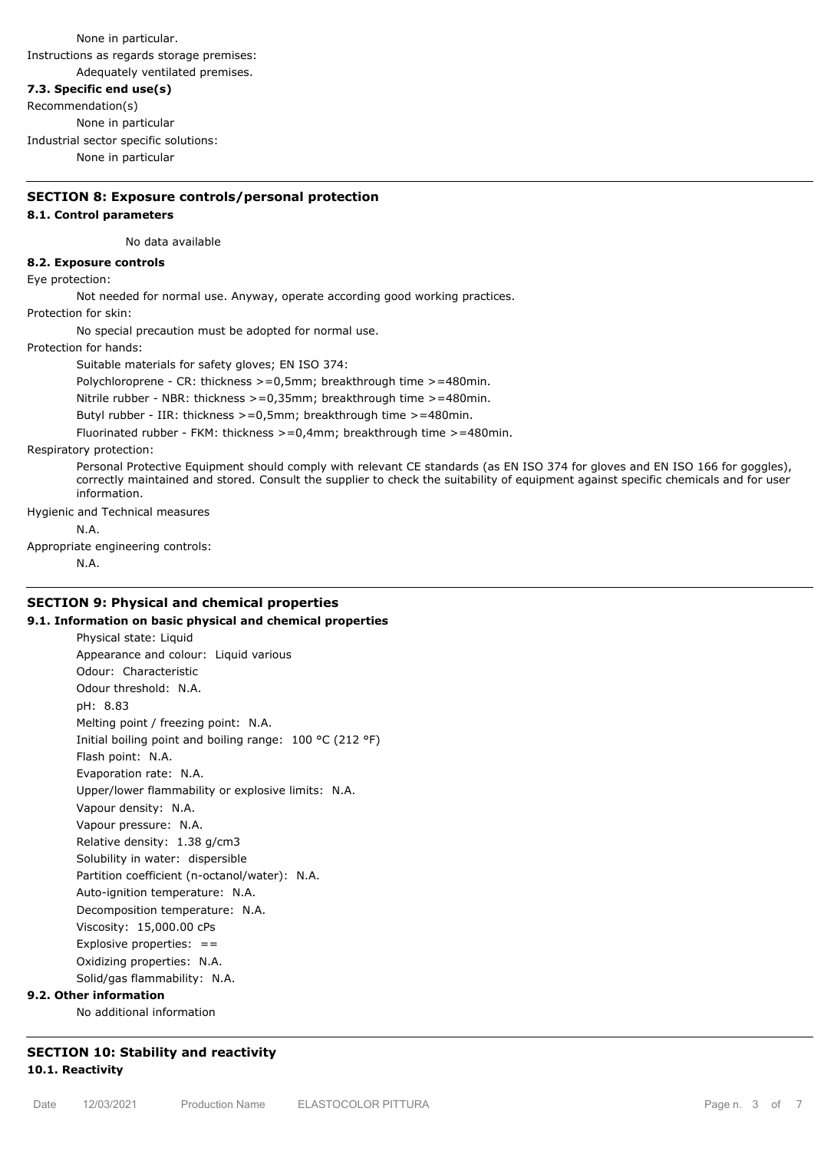None in particular. Instructions as regards storage premises: Adequately ventilated premises.

**7.3. Specific end use(s)**

Recommendation(s) None in particular Industrial sector specific solutions: None in particular

# **SECTION 8: Exposure controls/personal protection**

## **8.1. Control parameters**

No data available

### **8.2. Exposure controls**

Eye protection:

Not needed for normal use. Anyway, operate according good working practices.

Protection for skin:

No special precaution must be adopted for normal use.

Protection for hands:

Suitable materials for safety gloves; EN ISO 374:

Polychloroprene - CR: thickness >=0,5mm; breakthrough time >=480min.

Nitrile rubber - NBR: thickness >=0,35mm; breakthrough time >=480min.

Butyl rubber - IIR: thickness >=0,5mm; breakthrough time >=480min.

Fluorinated rubber - FKM: thickness >=0,4mm; breakthrough time >=480min.

### Respiratory protection:

Personal Protective Equipment should comply with relevant CE standards (as EN ISO 374 for gloves and EN ISO 166 for goggles), correctly maintained and stored. Consult the supplier to check the suitability of equipment against specific chemicals and for user information.

Hygienic and Technical measures

N.A.

Appropriate engineering controls:

N.A.

## **SECTION 9: Physical and chemical properties**

### **9.1. Information on basic physical and chemical properties** Physical state: Liquid

Appearance and colour: Liquid various Odour: Characteristic Odour threshold: N.A. pH: 8.83 Melting point / freezing point: N.A. Initial boiling point and boiling range: 100 °C (212 °F) Flash point: N.A. Evaporation rate: N.A. Upper/lower flammability or explosive limits: N.A. Vapour density: N.A. Vapour pressure: N.A. Relative density: 1.38 g/cm3 Solubility in water: dispersible Partition coefficient (n-octanol/water): N.A. Auto-ignition temperature: N.A. Decomposition temperature: N.A. Viscosity: 15,000.00 cPs Explosive properties: == Oxidizing properties: N.A. Solid/gas flammability: N.A.

# **9.2. Other information**

No additional information

# **SECTION 10: Stability and reactivity 10.1. Reactivity**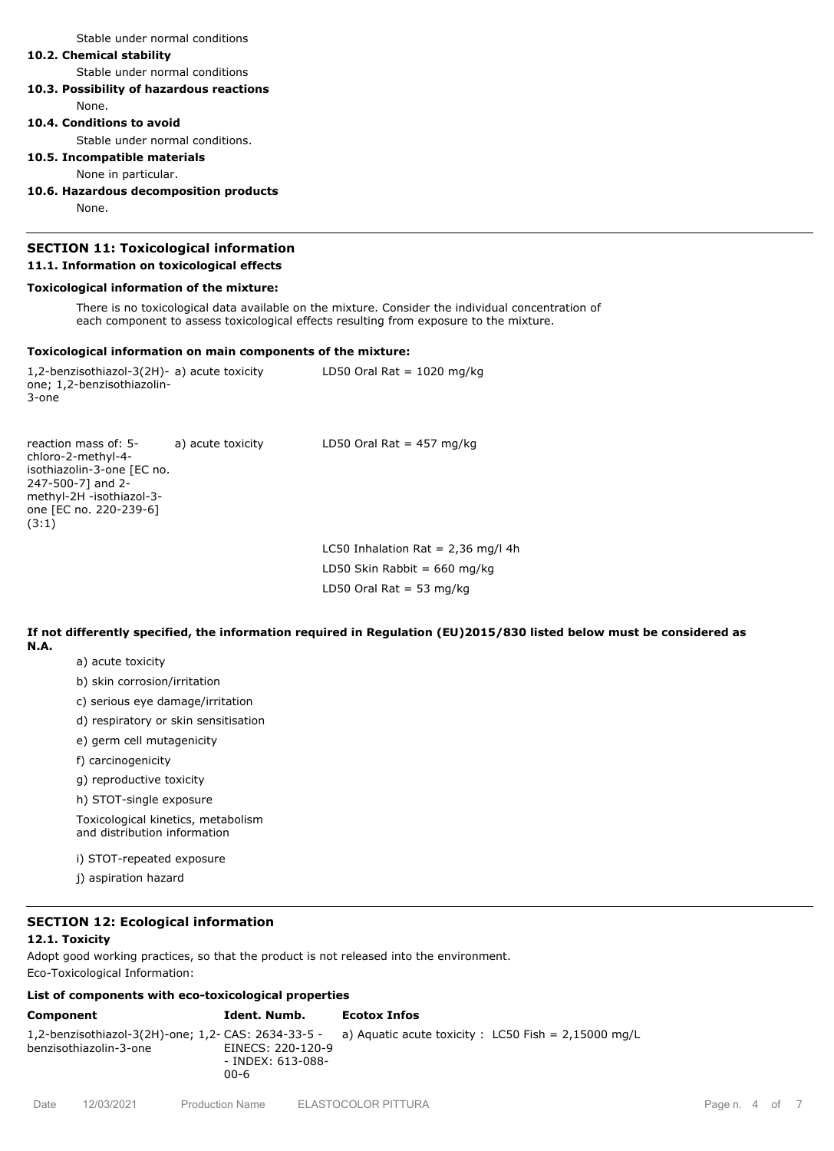Stable under normal conditions

## **10.2. Chemical stability**

Stable under normal conditions

## **10.3. Possibility of hazardous reactions**

None.

### **10.4. Conditions to avoid**

Stable under normal conditions.

## **10.5. Incompatible materials**

None in particular.

### **10.6. Hazardous decomposition products**

None.

## **SECTION 11: Toxicological information**

### **11.1. Information on toxicological effects**

### **Toxicological information of the mixture:**

There is no toxicological data available on the mixture. Consider the individual concentration of each component to assess toxicological effects resulting from exposure to the mixture.

### **Toxicological information on main components of the mixture:**

1,2-benzisothiazol-3(2H)- a) acute toxicity one; 1,2-benzisothiazolin-3-one LD50 Oral Rat =  $1020$  mg/kg reaction mass of: 5 chloro-2-methyl-4 isothiazolin-3-one [EC no. 247-500-7] and 2 methyl-2H -isothiazol-3 one [EC no. 220-239-6] (3:1) a) acute toxicity LD50 Oral Rat = 457 mg/kg LC50 Inhalation Rat =  $2,36$  mg/l 4h LD50 Skin Rabbit =  $660 \text{ mg/kg}$ 

**If not differently specified, the information required in Regulation (EU)2015/830 listed below must be considered as N.A.**

LD50 Oral Rat =  $53$  mg/kg

- a) acute toxicity
- b) skin corrosion/irritation
- c) serious eye damage/irritation
- d) respiratory or skin sensitisation
- e) germ cell mutagenicity
- f) carcinogenicity
- g) reproductive toxicity
- h) STOT-single exposure

Toxicological kinetics, metabolism and distribution information

- i) STOT-repeated exposure
- j) aspiration hazard

## **SECTION 12: Ecological information**

## **12.1. Toxicity**

Adopt good working practices, so that the product is not released into the environment. Eco-Toxicological Information:

# **List of components with eco-toxicological properties**

| Component              | Ident. Numb.                                   | <b>Ecotox Infos</b>                                                                                      |
|------------------------|------------------------------------------------|----------------------------------------------------------------------------------------------------------|
| benzisothiazolin-3-one | EINECS: 220-120-9<br>- INDEX: 613-088-<br>00-6 | 1,2-benzisothiazol-3(2H)-one; 1,2- CAS: 2634-33-5 - a) Aquatic acute toxicity : LC50 Fish = 2,15000 mg/L |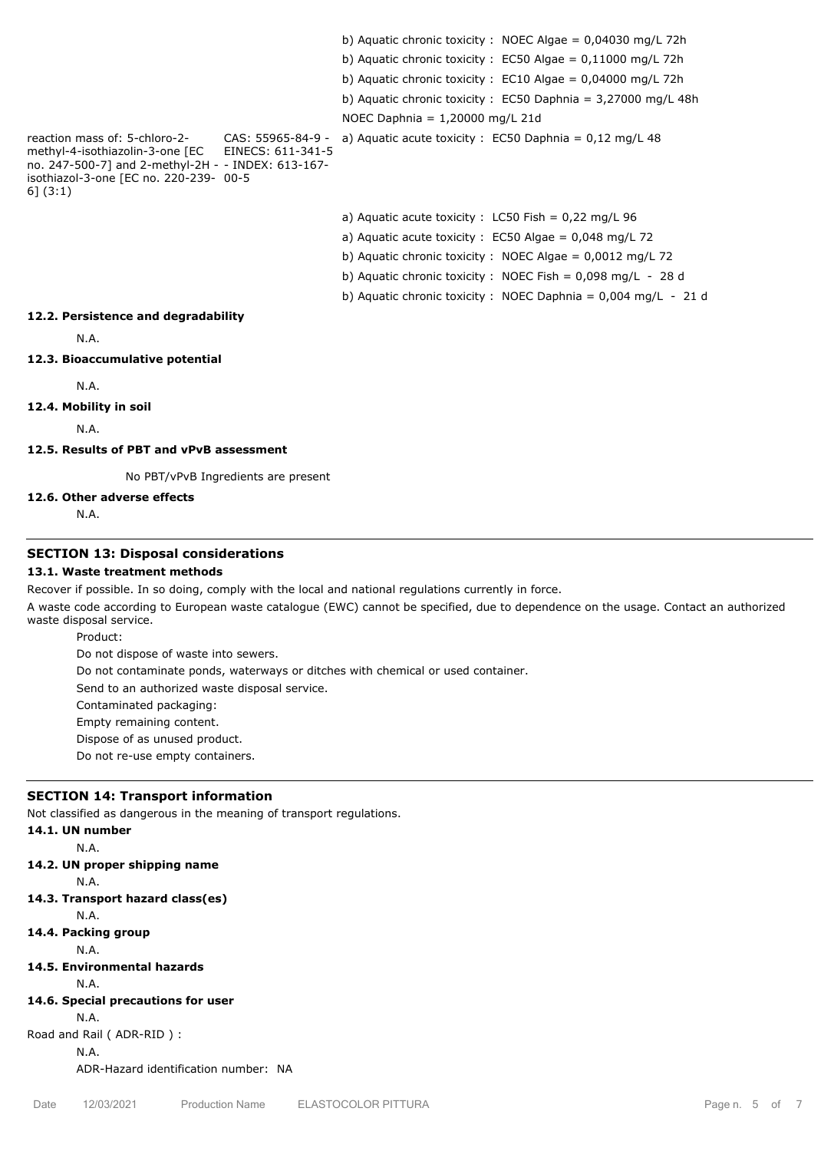b) Aquatic chronic toxicity : NOEC Algae = 0,04030 mg/L 72h b) Aquatic chronic toxicity : EC50 Algae = 0,11000 mg/L 72h b) Aquatic chronic toxicity : EC10 Algae = 0,04000 mg/L 72h b) Aquatic chronic toxicity :  $EC50$  Daphnia = 3,27000 mg/L 48h NOEC Daphnia = 1,20000 mg/L 21d reaction mass of: 5-chloro-2 methyl-4-isothiazolin-3-one [EC no. 247-500-7] and 2-methyl-2H - - INDEX: 613-167 isothiazol-3-one [EC no. 220-239- 00-5 6] (3:1) CAS: 55965-84-9 - EINECS: 611-341-5 a) Aquatic acute toxicity : EC50 Daphnia =  $0,12 \text{ mg/L } 48$ a) Aquatic acute toxicity : LC50 Fish = 0,22 mg/L 96 a) Aquatic acute toxicity : EC50 Algae =  $0.048$  mg/L 72 b) Aquatic chronic toxicity : NOEC Algae = 0,0012 mg/L 72 b) Aquatic chronic toxicity : NOEC Fish = 0,098 mg/L - 28 d b) Aquatic chronic toxicity : NOEC Daphnia =  $0.004$  mg/L - 21 d

### **12.2. Persistence and degradability**

N.A.

## **12.3. Bioaccumulative potential**

N.A.

### **12.4. Mobility in soil**

N.A.

### **12.5. Results of PBT and vPvB assessment**

No PBT/vPvB Ingredients are present

### **12.6. Other adverse effects**

N.A.

## **SECTION 13: Disposal considerations**

### **13.1. Waste treatment methods**

Recover if possible. In so doing, comply with the local and national regulations currently in force.

A waste code according to European waste catalogue (EWC) cannot be specified, due to dependence on the usage. Contact an authorized waste disposal service.

Product:

Do not dispose of waste into sewers.

Do not contaminate ponds, waterways or ditches with chemical or used container.

Send to an authorized waste disposal service.

Contaminated packaging:

Empty remaining content.

Dispose of as unused product.

Do not re-use empty containers.

### **SECTION 14: Transport information**

Not classified as dangerous in the meaning of transport regulations.

## **14.1. UN number** N.A.

**14.2. UN proper shipping name** N.A. **14.3. Transport hazard class(es)** N.A. **14.4. Packing group** N.A. **14.5. Environmental hazards** N.A. **14.6. Special precautions for user** N.A. Road and Rail ( ADR-RID ) : N.A. ADR-Hazard identification number: NA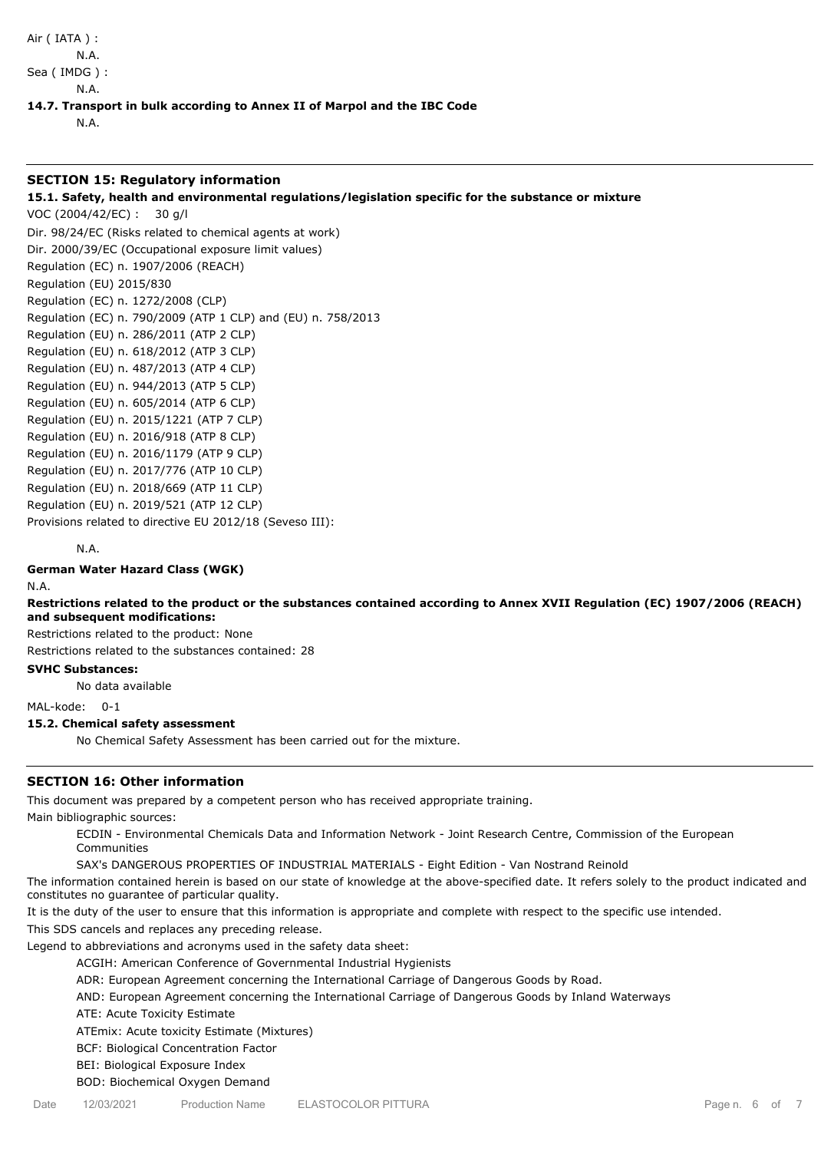Air ( IATA ) : N.A. Sea ( IMDG ) : N.A. **14.7. Transport in bulk according to Annex II of Marpol and the IBC Code** N.A.

## **SECTION 15: Regulatory information**

**15.1. Safety, health and environmental regulations/legislation specific for the substance or mixture**

VOC (2004/42/EC) : 30 g/l Dir. 98/24/EC (Risks related to chemical agents at work) Dir. 2000/39/EC (Occupational exposure limit values) Regulation (EC) n. 1907/2006 (REACH) Regulation (EU) 2015/830 Regulation (EC) n. 1272/2008 (CLP) Regulation (EC) n. 790/2009 (ATP 1 CLP) and (EU) n. 758/2013 Regulation (EU) n. 286/2011 (ATP 2 CLP) Regulation (EU) n. 618/2012 (ATP 3 CLP) Regulation (EU) n. 487/2013 (ATP 4 CLP) Regulation (EU) n. 944/2013 (ATP 5 CLP) Regulation (EU) n. 605/2014 (ATP 6 CLP) Regulation (EU) n. 2015/1221 (ATP 7 CLP) Regulation (EU) n. 2016/918 (ATP 8 CLP) Regulation (EU) n. 2016/1179 (ATP 9 CLP) Regulation (EU) n. 2017/776 (ATP 10 CLP) Regulation (EU) n. 2018/669 (ATP 11 CLP) Regulation (EU) n. 2019/521 (ATP 12 CLP) Provisions related to directive EU 2012/18 (Seveso III):

## N.A.

### **German Water Hazard Class (WGK)**

N.A.

**Restrictions related to the product or the substances contained according to Annex XVII Regulation (EC) 1907/2006 (REACH) and subsequent modifications:**

Restrictions related to the product: None

Restrictions related to the substances contained: 28

**SVHC Substances:**

No data available

MAL-kode: 0-1

### **15.2. Chemical safety assessment**

No Chemical Safety Assessment has been carried out for the mixture.

## **SECTION 16: Other information**

This document was prepared by a competent person who has received appropriate training. Main bibliographic sources:

ECDIN - Environmental Chemicals Data and Information Network - Joint Research Centre, Commission of the European Communities

SAX's DANGEROUS PROPERTIES OF INDUSTRIAL MATERIALS - Eight Edition - Van Nostrand Reinold

The information contained herein is based on our state of knowledge at the above-specified date. It refers solely to the product indicated and constitutes no guarantee of particular quality.

It is the duty of the user to ensure that this information is appropriate and complete with respect to the specific use intended.

This SDS cancels and replaces any preceding release.

Legend to abbreviations and acronyms used in the safety data sheet:

ACGIH: American Conference of Governmental Industrial Hygienists

ADR: European Agreement concerning the International Carriage of Dangerous Goods by Road.

AND: European Agreement concerning the International Carriage of Dangerous Goods by Inland Waterways

ATE: Acute Toxicity Estimate

ATEmix: Acute toxicity Estimate (Mixtures)

BCF: Biological Concentration Factor

BEI: Biological Exposure Index

BOD: Biochemical Oxygen Demand